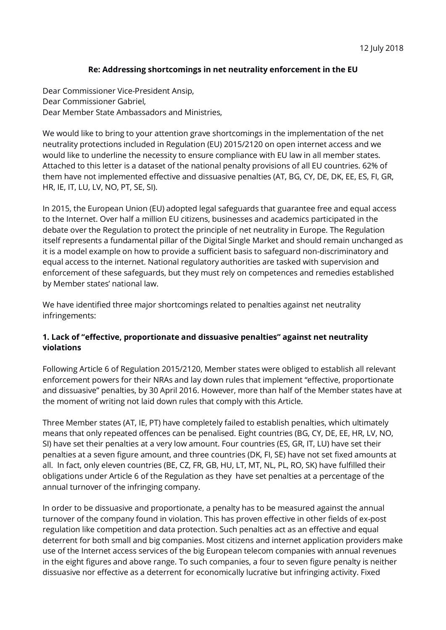## **Re: Addressing shortcomings in net neutrality enforcement in the EU**

Dear Commissioner Vice-President Ansip, Dear Commissioner Gabriel, Dear Member State Ambassadors and Ministries,

We would like to bring to your attention grave shortcomings in the implementation of the net neutrality protections included in Regulation (EU) 2015/2120 on open internet access and we would like to underline the necessity to ensure compliance with EU law in all member states. Attached to this letter is a dataset of the national penalty provisions of all EU countries. 62% of them have not implemented effective and dissuasive penalties (AT, BG, CY, DE, DK, EE, ES, FI, GR, HR, IE, IT, LU, LV, NO, PT, SE, SI).

In 2015, the European Union (EU) adopted legal safeguards that guarantee free and equal access to the Internet. Over half a million EU citizens, businesses and academics participated in the debate over the Regulation to protect the principle of net neutrality in Europe. The Regulation itself represents a fundamental pillar of the Digital Single Market and should remain unchanged as it is a model example on how to provide a sufficient basis to safeguard non-discriminatory and equal access to the internet. National regulatory authorities are tasked with supervision and enforcement of these safeguards, but they must rely on competences and remedies established by Member states' national law.

We have identified three major shortcomings related to penalties against net neutrality infringements:

## **1. Lack of "effective, proportionate and dissuasive penalties" against net neutrality violations**

Following Article 6 of Regulation 2015/2120, Member states were obliged to establish all relevant enforcement powers for their NRAs and lay down rules that implement "effective, proportionate and dissuasive" penalties, by 30 April 2016. However, more than half of the Member states have at the moment of writing not laid down rules that comply with this Article.

Three Member states (AT, IE, PT) have completely failed to establish penalties, which ultimately means that only repeated offences can be penalised. Eight countries (BG, CY, DE, EE, HR, LV, NO, SI) have set their penalties at a very low amount. Four countries (ES, GR, IT, LU) have set their penalties at a seven figure amount, and three countries (DK, FI, SE) have not set fixed amounts at all. In fact, only eleven countries (BE, CZ, FR, GB, HU, LT, MT, NL, PL, RO, SK) have fulfilled their obligations under Article 6 of the Regulation as they have set penalties at a percentage of the annual turnover of the infringing company.

In order to be dissuasive and proportionate, a penalty has to be measured against the annual turnover of the company found in violation. This has proven effective in other fields of ex-post regulation like competition and data protection. Such penalties act as an effective and equal deterrent for both small and big companies. Most citizens and internet application providers make use of the Internet access services of the big European telecom companies with annual revenues in the eight figures and above range. To such companies, a four to seven figure penalty is neither dissuasive nor effective as a deterrent for economically lucrative but infringing activity. Fixed